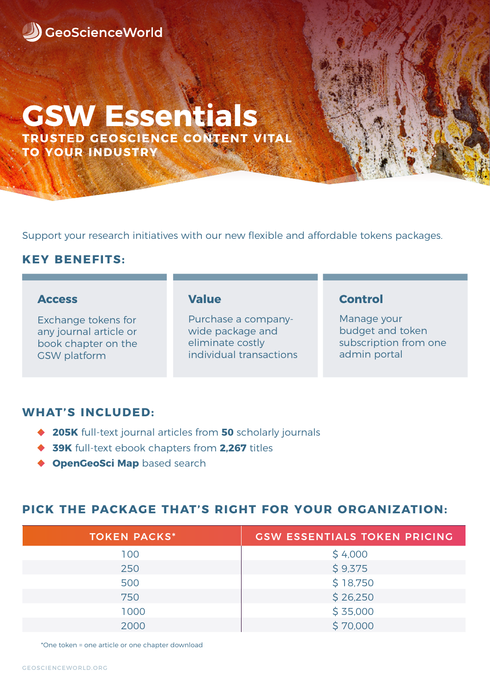

# **TRUSTED GEOSCIENCE CONTENT VITAL GSW Essentials**

**TO YOUR INDUSTRY**

Support your research initiatives with our new flexible and affordable tokens packages.

## **KEY BENEFITS:**

#### **Access**

Exchange tokens for any journal article or book chapter on the GSW platform

#### **Value**

Purchase a companywide package and eliminate costly individual transactions

#### **Control**

Manage your budget and token subscription from one admin portal

## **WHAT'S INCLUDED:**

- **205K** full-text journal articles from **50** scholarly journals
- ◆ **39K** full-text ebook chapters from 2.267 titles
- **CopenGeoSci Map** based search

### **PICK THE PACKAGE THAT'S RIGHT FOR YOUR ORGANIZATION:**

| <b>TOKEN PACKS*</b> | <b>GSW ESSENTIALS TOKEN PRICING</b> |
|---------------------|-------------------------------------|
| 100                 | \$4,000                             |
| 250                 | \$9,375                             |
| 500                 | \$18,750                            |
| 750                 | \$26,250                            |
| 1000                | \$35,000                            |
| 2000                | \$70,000                            |

\*One token = one article or one chapter download